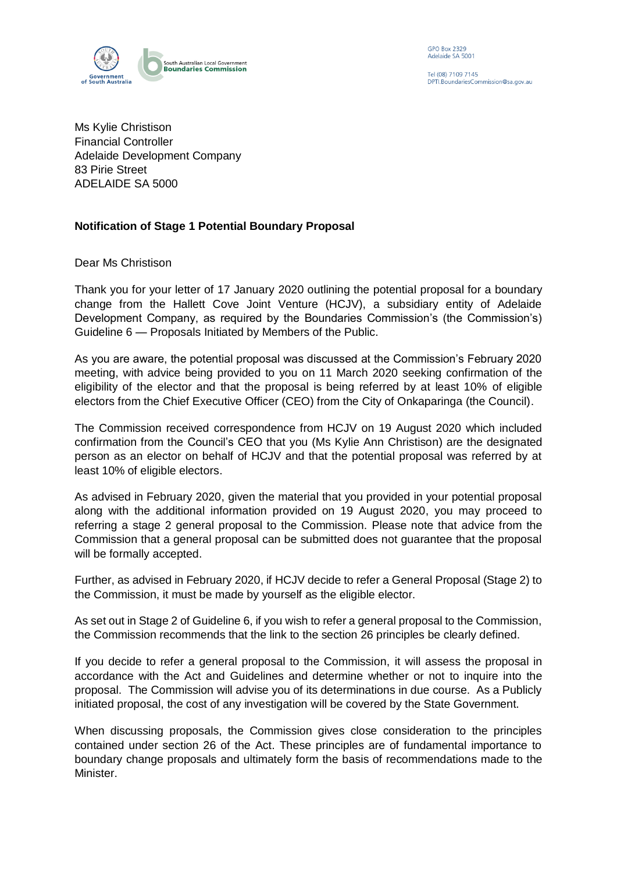

**GPO Box 2329** Adelaide SA 5001

Tel (08) 7109 7145 PTI. Boundaries Commission@sa.gov.au

Ms Kylie Christison Financial Controller Adelaide Development Company 83 Pirie Street ADELAIDE SA 5000

## **Notification of Stage 1 Potential Boundary Proposal**

Dear Ms Christison

Thank you for your letter of 17 January 2020 outlining the potential proposal for a boundary change from the Hallett Cove Joint Venture (HCJV), a subsidiary entity of Adelaide Development Company, as required by the Boundaries Commission's (the Commission's) Guideline 6 — Proposals Initiated by Members of the Public.

As you are aware, the potential proposal was discussed at the Commission's February 2020 meeting, with advice being provided to you on 11 March 2020 seeking confirmation of the eligibility of the elector and that the proposal is being referred by at least 10% of eligible electors from the Chief Executive Officer (CEO) from the City of Onkaparinga (the Council).

The Commission received correspondence from HCJV on 19 August 2020 which included confirmation from the Council's CEO that you (Ms Kylie Ann Christison) are the designated person as an elector on behalf of HCJV and that the potential proposal was referred by at least 10% of eligible electors.

As advised in February 2020, given the material that you provided in your potential proposal along with the additional information provided on 19 August 2020, you may proceed to referring a stage 2 general proposal to the Commission. Please note that advice from the Commission that a general proposal can be submitted does not guarantee that the proposal will be formally accepted.

Further, as advised in February 2020, if HCJV decide to refer a General Proposal (Stage 2) to the Commission, it must be made by yourself as the eligible elector.

As set out in Stage 2 of Guideline 6, if you wish to refer a general proposal to the Commission, the Commission recommends that the link to the section 26 principles be clearly defined.

If you decide to refer a general proposal to the Commission, it will assess the proposal in accordance with the Act and Guidelines and determine whether or not to inquire into the proposal. The Commission will advise you of its determinations in due course. As a Publicly initiated proposal, the cost of any investigation will be covered by the State Government.

When discussing proposals, the Commission gives close consideration to the principles contained under section 26 of the Act. These principles are of fundamental importance to boundary change proposals and ultimately form the basis of recommendations made to the Minister.